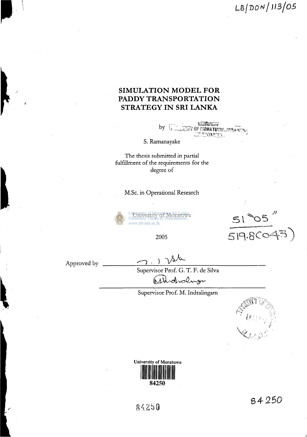LS/DD^/ *H3/0 5* 

#### **SIMULATION MODEL FOR PADDY TRANSPORTATION STRATEGY IN SRI LANKA**

**ALLORATOR** by  $\sqrt{1}$ **SEEDING OF MORATUMPA** 

S. Ramanayake

The thesis submitted in partial fulfillment of the requirements for the degree of

M.Sc. in Operational Research



University of Moratuwa www.lib.mrt.ac.lk

2005 519.8CO

Approved by

Supervisor Prof. G. T. F. de Silva Atholioling

Supervisor Prof. M. Indralingam





84250

84250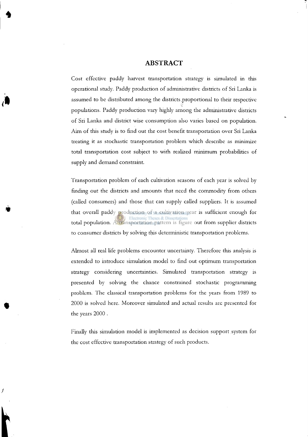#### ABSTRACT

Cost effective paddy harvest transportation strategy is simulated in this operational study. Paddy production of administrative districts of Sri Lanka is assumed to be distributed among the districts .proportional to their respective populations. Paddy production vary highly among the administrative districts of Sri Lanka and district wise consumption also varies based on population. Aim of this study is to find out the cost benefit transportation over Sri Lanka treating it as stochastic transportation problem which describe as minimize total transportation cost subject to with realized minimum probabilities of supply and demand constraint.

Transportation problem of each cultivation seasons of each year is solved by finding out the districts and amounts that need the commodity from others (called consumers) and those that can supply called suppliers. It is assumed that overall paddy production of a cultivation year is sufficient enough for total population. A transportation pattern is figure out from supplier districts to consumer districts by solving this deterministic transportation problems.

Almost all real life problems encounter uncertainty. Therefore this analysis is extended to introduce simulation model to find out optimum transportation strategy considering uncertainties. Simulated transportation strategy is presented by solving the chance constrained stochastic programming problem. The classical transportation problems for the years from 1989 to 2000 is solved here. Moreover simulated and actual results are presented for the years 2000 .

Finally this simulation model is implemented as decision support system for the cost effective transportation strategy of such products.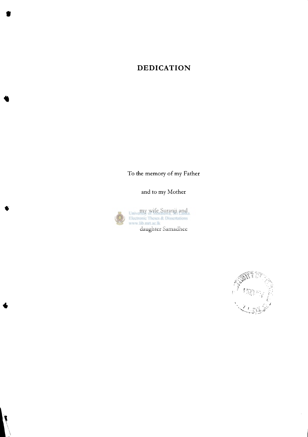### **DEDICATION**

To the memory of my Father

and to my Mother

my wife Suranji and daughter Samadhee

 $\mathcal{F}$  *I* go  $\mathbb{Z}$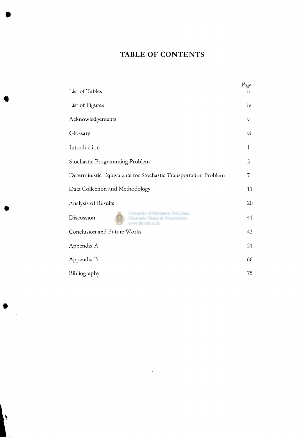## TABLE OF CONTENTS

| List of Tables                                                                                             | Page<br>11      |
|------------------------------------------------------------------------------------------------------------|-----------------|
| List of Figures                                                                                            | iv              |
| Acknowledgements                                                                                           | v               |
| Glossary                                                                                                   | $\overline{vi}$ |
| Introduction                                                                                               | 1               |
| Stochastic Programming Problem                                                                             | 5               |
| Deterministic Equivalents for Stochastic Transportation Problem                                            | 7               |
| Data Collection and Methodology                                                                            | 11              |
| Analysis of Results                                                                                        | 20              |
| University of Moratuwa, Sri Lanka.<br>Discussion<br>Electronic Theses & Dissertations<br>www.lib.mrt.ac.lk | 41              |
| <b>Conclusion and Future Works</b>                                                                         | 43              |
| Appendix A                                                                                                 | 51              |
| Appendix B                                                                                                 | 66              |
| Bibliography                                                                                               | 75              |

 $\sim$   $\sim$ 

∖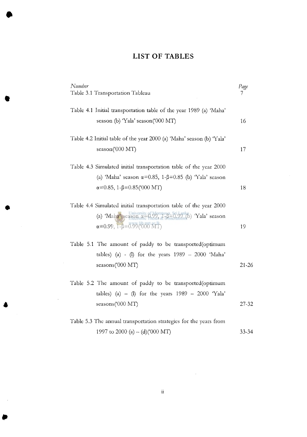## LIST OF TABLES

| Number<br>Table 3.1 Transportation Tableau                                                                                                                                                        | Page<br>7 |
|---------------------------------------------------------------------------------------------------------------------------------------------------------------------------------------------------|-----------|
| Table 4.1 Initial transportation table of the year 1989 (a) 'Maha'<br>season (b) 'Yala' season ('000 MT)                                                                                          | 16        |
| Table 4.2 Initial table of the year 2000 (a) 'Maha' season (b) 'Yala'<br>season('000 MT)                                                                                                          | 17        |
| Table 4.3 Simulated initial transportation table of the year 2000<br>(a) 'Maha' season $\alpha = 0.85$ , 1- $\beta = 0.85$ (b) 'Yala' season<br>$\alpha$ =0.85, 1- $\beta$ =0.85('000 MT)         | 18        |
| Table 4.4 Simulated initial transportation table of the year 2000<br>(a) 'Maha' season $\alpha = 0.99$ , 1- $\beta = 0.99$ (b) 'Yala' season<br>$\alpha = 0.99, 1 - \beta = 0.99(000 \text{ MT})$ | 19        |
| Table 5.1 The amount of paddy to be transported (optimum<br>tables) (a) - (l) for the years $1989 - 2000$ 'Maha'<br>seasons('000 MT)                                                              | $21 - 26$ |
| Table 5.2 The amount of paddy to be transported (optimum<br>tables) (a) - (l) for the years $1989 - 2000$ 'Yala'<br>seasons('000 MT)                                                              | 27-32     |
| Table 5.3 The annual transportation strategies for the years from                                                                                                                                 |           |
|                                                                                                                                                                                                   |           |

 $\sim$ 

 $\sim$ 

1997 to 2000 (a) – (d)('000 MT)  $33 - 34$ 

 $\hat{\mathcal{L}}_{\text{max}}$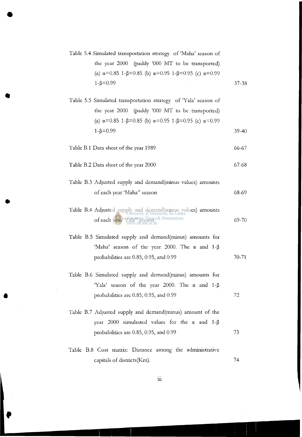|       | Table 5.4 Simulated transportation strategy of 'Maha' season of                            |
|-------|--------------------------------------------------------------------------------------------|
|       | the year 2000 (paddy '000 MT to be transported)                                            |
|       | (a) $\alpha$ =0.85 1- $\beta$ =0.85 (b) $\alpha$ =0.95 1- $\beta$ =0.95 (c) $\alpha$ =0.99 |
| 37-38 | $1 - \beta = 0.99$                                                                         |
|       |                                                                                            |

- Table 5.5 Simulated transportation strategy of 'Yala' season of the year 2000 (paddy '000 MT to be transported) (a)  $\alpha$  = 0.85 1- $\beta$  = 0.85 (b)  $\alpha$  = 0.95 1- $\beta$  = 0.95 (c)  $\alpha$  = 0.99  $1 - \beta = 0.99$ 39-40
- Table B.l Data sheet of the year 1989 66-67
- Table B.2 Data sheet of the year 2000 67-68
- Table B.3 Adjusted supply and demand(minus values) amounts of each year 'Maha" season 68-69
- Table B.4 Adjusted supply and demand(minus values) amounts of each year 'Yala" season 69-70
- Table B.5 Simulated supply and demand(minus) amounts for 'Maha' season of the year 2000. The  $\alpha$  and 1- $\beta$ probabilities are 0.85, 0.95, and 0.99 70-71

72

- Table B.6 Simulated supply and demand(minus) amounts for 'Yala' season of the year 2000. The  $\alpha$  and 1- $\beta$ probabilities are 0.85, 0.95, and 0.99
- Table B.7 Adjusted supply and demand(minus) amount of the year 2000 simulasted values for the  $\alpha$  and 1- $\beta$ probabilities are 0.85, 0.95, and 0.99 **73**
- Table B.8 Cost matrix: Distance among the administrative capitals of districts(Km). 74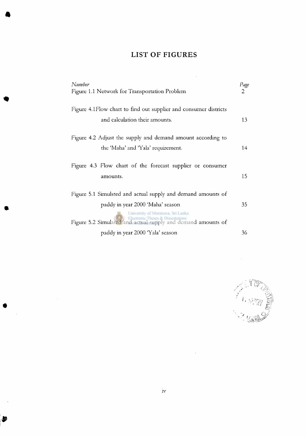# LIST OF FIGURES

 $\mathcal{L}^{\text{max}}_{\text{max}}$ 

| Number                                                           | Page           |
|------------------------------------------------------------------|----------------|
| Figure 1.1 Network for Transportation Problem                    | $\overline{2}$ |
| Figure 4.1Flow chart to find out supplier and consumer districts |                |
| and calculation their amounts.                                   | 13             |
|                                                                  |                |
| Figure 4.2 Adjust the supply and demand amount according to      |                |
| the 'Maha' and 'Yala' requirement.                               | 14             |
| Figure 4.3 Flow chart of the forecast supplier or consumer       |                |
| amounts.                                                         | 15             |
|                                                                  |                |
| Figure 5.1 Simulsted and actual supply and demand amounts of     |                |
| paddy in year 2000 'Maha' season                                 | 35             |
| University of Moratuwa, Sri Lanka.                               |                |
| Figure 5.2 Simulated and actual supply and demand amounts of     |                |
| paddy in year 2000 Yala' season                                  | 36             |

 $\mathcal{A}^{\mathcal{A}}$ 

 $\frac{1}{2} \left( \frac{1}{2} \right)$  ,  $\frac{1}{2} \left( \frac{1}{2} \right)$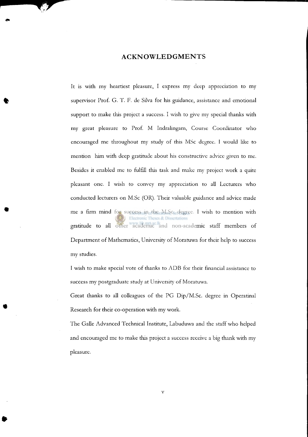#### ACKNOWLEDGMENTS

It is with my heartiest pleasure, I express my deep appreciation to my supervisor Prof. G. T. F. de Silva for his guidance, assistance and emotional support to make this project a success. I wish to give my special thanks with my great pleasure to Prof. M Indralingam, Course Coordinator who encouraged me throughout my study of this MSc degree. I would like to mention him with deep gratitude about his constructive advice given to me. Besides it enabled me to fulfill this task and make my project work a quite pleasant one. I wish to convey my appreciation to all Lecturers who conducted lecturers on M.Sc (OR). Their valuable guidance and advice made me a firm mind for success in the M.Sc. degree. I wish to mention with onic Theses & Dissertations gratitude to all other academic and non-academic staff members of Department of Mathematics, University of Moratuwa for their help to success my studies.

I wish to make special vote of thanks to ADB for their financial assistance to success my postgraduate study at University of Moratuwa.

Great thanks to all colleagues of the PG Dip/M.Sc. degree in Operatinal Research for their co-operation with my work.

The Galle Advanced Technical Institute, Labuduwa and the staff who helped and encouraged me to make this project a success receive a big thank with my pleasure.